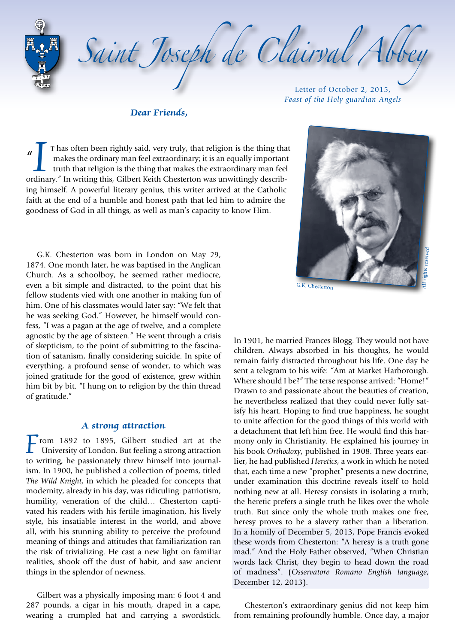Saint Joseph de Clairval Abb

**Dear Friends,**

Letter of October 2, 2015, *Feast of the Holy guardian Angels*

 $\mathbf{u}$ T has often been rightly said, very truly, that religion is the thing that makes the ordinary man feel extraordinary; it is an equally importan truth that religion is the thing that makes the extraordinary man feel ordinar T has often been rightly said, very truly, that religion is the thing that makes the ordinary man feel extraordinary; it is an equally important truth that religion is the thing that makes the extraordinary man feel ing himself. A powerful literary genius, this writer arrived at the Catholic faith at the end of a humble and honest path that led him to admire the goodness of God in all things, as well as man's capacity to know Him.

G.K. Chesterton was born in London on May 29, 1874. One month later, he was baptised in the Anglican Church. As a schoolboy, he seemed rather mediocre, even a bit simple and distracted, to the point that his fellow students vied with one another in making fun of him. One of his classmates would later say: "We felt that he was seeking God." However, he himself would confess, "I was a pagan at the age of twelve, and a complete agnostic by the age of sixteen." He went through a crisis of skepticism, to the point of submitting to the fascina‑ tion of satanism, finally considering suicide. In spite of everything, a profound sense of wonder, to which was joined gratitude for the good of existence, grew within him bit by bit. "I hung on to religion by the thin thread of gratitude."

#### **A strong attraction**

 $\Gamma$ rom 1892 to 1895, Gilbert studied art at the University of London. But feeling a strong attraction to writing, he passionately threw himself into journalism. In 1900, he published a collection of poems, titled *The Wild Knight*, in which he pleaded for concepts that modernity, already in his day, was ridiculing: patriotism, humility, veneration of the child... Chesterton captivated his readers with his fertile imagination, his lively style, his insatiable interest in the world, and above all, with his stunning ability to perceive the profound meaning of things and attitudes that familiarization ran the risk of trivializing. He cast a new light on familiar realities, shook off the dust of habit, and saw ancient things in the splendor of newness.

Gilbert was a physically imposing man: 6 foot 4 and 287 pounds, a cigar in his mouth, draped in a cape, wearing a crumpled hat and carrying a swordstick. All rights reserved

G.K. Chesterton

In 1901, he married Frances Blogg. They would not have children. Always absorbed in his thoughts, he would remain fairly distracted throughout his life. One day he sent a telegram to his wife: "Am at Market Harborough. Where should I be?" The terse response arrived: "Home!" Drawn to and passionate about the beauties of creation, he nevertheless realized that they could never fully satisfy his heart. Hoping to find true happiness, he sought to unite affection for the good things of this world with a detachment that left him free. He would find this harmony only in Christianity. He explained his journey in his book *Orthodoxy*, published in 1908. Three years earlier, he had published *Heretics*, a work in which he noted that, each time a new "prophet" presents a new doctrine, under examination this doctrine reveals itself to hold nothing new at all. Heresy consists in isolating a truth; the heretic prefers a single truth he likes over the whole truth. But since only the whole truth makes one free, heresy proves to be a slavery rather than a liberation. In a homily of December 5, 2013, Pope Francis evoked these words from Chesterton: "A heresy is a truth gone mad." And the Holy Father observed, "When Christian words lack Christ, they begin to head down the road of madness". (*Osservatore Romano English language*, December 12, 2013).

Chesterton's extraordinary genius did not keep him from remaining profoundly humble. Once day, a major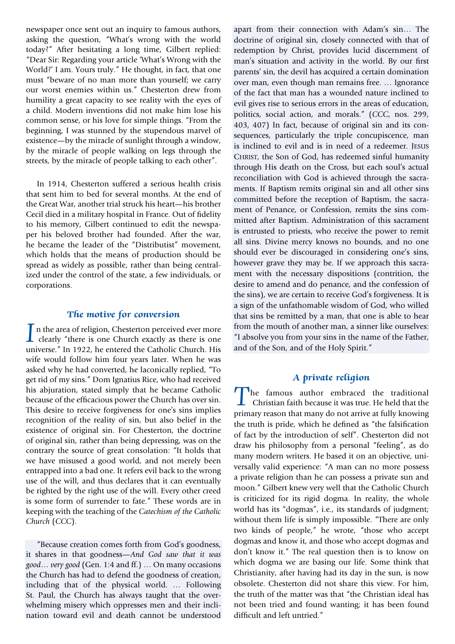newspaper once sent out an inquiry to famous authors, asking the question, "What's wrong with the world today?" After hesitating a long time, Gilbert replied: "Dear Sir: Regarding your article 'What's Wrong with the World?' I am. Yours truly." He thought, in fact, that one must "beware of no man more than yourself; we carry our worst enemies within us." Chesterton drew from humility a great capacity to see reality with the eyes of a child. Modern inventions did not make him lose his common sense, or his love for simple things. "From the beginning, I was stunned by the stupendous marvel of existence—by the miracle of sunlight through a window, by the miracle of people walking on legs through the streets, by the miracle of people talking to each other".

In 1914, Chesterton suffered a serious health crisis that sent him to bed for several months. At the end of the Great War, another trial struck his heart—his brother Cecil died in a military hospital in France. Out of fidelity to his memory, Gilbert continued to edit the newspaper his beloved brother had founded. After the war, he became the leader of the "Distributist" movement, which holds that the means of production should be spread as widely as possible, rather than being centralized under the control of the state, a few individuals, or corporations.

# **The motive for conversion**

In the area of religion, Chesterton perceived ever more clearly "there is one Church exactly as there is one universe." In 1922, he entered the Catholic Church His universe." In 1922, he entered the Catholic Church. His wife would follow him four years later. When he was asked why he had converted, he laconically replied, "To get rid of my sins." Dom Ignatius Rice, who had received his abjuration, stated simply that he became Catholic because of the efficacious power the Church has over sin. This desire to receive forgiveness for one's sins implies recognition of the reality of sin, but also belief in the existence of original sin. For Chesterton, the doctrine of original sin, rather than being depressing, was on the contrary the source of great consolation: "It holds that we have misused a good world, and not merely been entrapped into a bad one. It refers evil back to the wrong use of the will, and thus declares that it can eventually be righted by the right use of the will. Every other creed is some form of surrender to fate." These words are in keeping with the teaching of the *Catechism of the Catholic Church* (*CCC*).

"Because creation comes forth from God's goodness, it shares in that goodness—*And God saw that it was good… very good* (Gen. 1:4 and ff.) … On many occasions the Church has had to defend the goodness of creation, including that of the physical world. … Following St. Paul, the Church has always taught that the overwhelming misery which oppresses men and their inclination toward evil and death cannot be understood

apart from their connection with Adam's sin… The doctrine of original sin, closely connected with that of redemption by Christ, provides lucid discernment of man's situation and activity in the world. By our first parents' sin, the devil has acquired a certain domination over man, even though man remains free. … Ignorance of the fact that man has a wounded nature inclined to evil gives rise to serious errors in the areas of education, politics, social action, and morals." (*CCC*, nos. 299, 403, 407) In fact, because of original sin and its consequences, particularly the triple concupiscence, man is inclined to evil and is in need of a redeemer. Jesus CHRIST, the Son of God, has redeemed sinful humanity through His death on the Cross, but each soul's actual reconciliation with God is achieved through the sacraments. If Baptism remits original sin and all other sins committed before the reception of Baptism, the sacrament of Penance, or Confession, remits the sins committed after Baptism. Administration of this sacrament is entrusted to priests, who receive the power to remit all sins. Divine mercy knows no bounds, and no one should ever be discouraged in considering one's sins, however grave they may be. If we approach this sacrament with the necessary dispositions (contrition, the desire to amend and do penance, and the confession of the sins), we are certain to receive God's forgiveness. It is a sign of the unfathomable wisdom of God, who willed that sins be remitted by a man, that one is able to hear from the mouth of another man, a sinner like ourselves: "I absolve you from your sins in the name of the Father, and of the Son, and of the Holy Spirit."

## **A private religion**

The famous author embraced the traditional Christian faith because it was true. He held that the primary reason that many do not arrive at fully knowing the truth is pride, which he defined as "the falsification of fact by the introduction of self". Chesterton did not draw his philosophy from a personal "feeling", as do many modern writers. He based it on an objective, universally valid experience: "A man can no more possess a private religion than he can possess a private sun and moon." Gilbert knew very well that the Catholic Church is criticized for its rigid dogma. In reality, the whole world has its "dogmas", i.e., its standards of judgment; without them life is simply impossible. "There are only two kinds of people," he wrote, "those who accept dogmas and know it, and those who accept dogmas and don't know it." The real question then is to know on which dogma we are basing our life. Some think that Christianity, after having had its day in the sun, is now obsolete. Chesterton did not share this view. For him, the truth of the matter was that "the Christian ideal has not been tried and found wanting; it has been found difficult and left untried."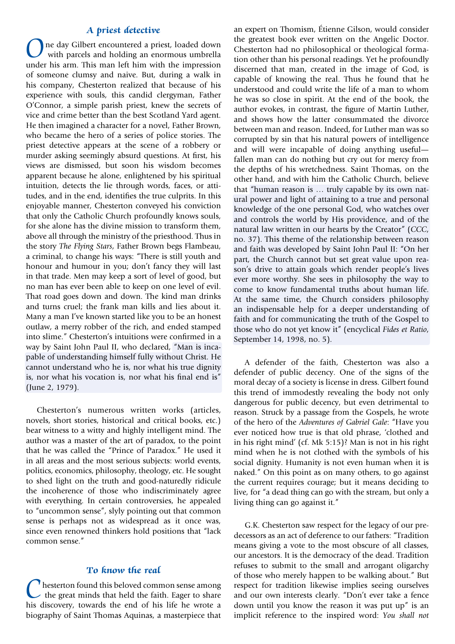#### **A priest detective**

One day Gilbert encountered a priest, loaded down<br>with parcels and holding an enormous umbrella<br>under his arm. This man left him with the impression under his arm. This man left him with the impression of someone clumsy and naive. But, during a walk in his company, Chesterton realized that because of his experience with souls, this candid clergyman, Father O'Connor, a simple parish priest, knew the secrets of vice and crime better than the best Scotland Yard agent. He then imagined a character for a novel, Father Brown, who became the hero of a series of police stories. The priest detective appears at the scene of a robbery or murder asking seemingly absurd questions. At first, his views are dismissed, but soon his wisdom becomes apparent because he alone, enlightened by his spiritual intuition, detects the lie through words, faces, or attitudes, and in the end, identifies the true culprits. In this enjoyable manner, Chesterton conveyed his conviction that only the Catholic Church profoundly knows souls, for she alone has the divine mission to transform them, above all through the ministry of the priesthood. Thus in the story *The Flying Stars*, Father Brown begs Flambeau, a criminal, to change his ways: "There is still youth and honour and humour in you; don't fancy they will last in that trade. Men may keep a sort of level of good, but no man has ever been able to keep on one level of evil. That road goes down and down. The kind man drinks and turns cruel; the frank man kills and lies about it. Many a man I've known started like you to be an honest outlaw, a merry robber of the rich, and ended stamped into slime." Chesterton's intuitions were confirmed in a way by Saint John Paul II, who declared, "Man is incapable of understanding himself fully without Christ. He cannot understand who he is, nor what his true dignity is, nor what his vocation is, nor what his final end is" (June 2, 1979).

Chesterton's numerous written works (articles, novels, short stories, historical and critical books, etc.) bear witness to a witty and highly intelligent mind. The author was a master of the art of paradox, to the point that he was called the "Prince of Paradox." He used it in all areas and the most serious subjects: world events, politics, economics, philosophy, theology, etc. He sought to shed light on the truth and good‑naturedly ridicule the incoherence of those who indiscriminately agree with everything. In certain controversies, he appealed to "uncommon sense", slyly pointing out that common sense is perhaps not as widespread as it once was, since even renowned thinkers hold positions that "lack common sense."

#### **To know the real**

hesterton found this beloved common sense among  $\sim$  the great minds that held the faith. Eager to share his discovery, towards the end of his life he wrote a biography of Saint Thomas Aquinas, a masterpiece that

an expert on Thomism, Étienne Gilson, would consider the greatest book ever written on the Angelic Doctor. Chesterton had no philosophical or theological formation other than his personal readings. Yet he profoundly discerned that man, created in the image of God, is capable of knowing the real. Thus he found that he understood and could write the life of a man to whom he was so close in spirit. At the end of the book, the author evokes, in contrast, the figure of Martin Luther, and shows how the latter consummated the divorce between man and reason. Indeed, for Luther man was so corrupted by sin that his natural powers of intelligence and will were incapable of doing anything useful fallen man can do nothing but cry out for mercy from the depths of his wretchedness. Saint Thomas, on the other hand, and with him the Catholic Church, believe that "human reason is ... truly capable by its own natural power and light of attaining to a true and personal knowledge of the one personal God, who watches over and controls the world by His providence, and of the natural law written in our hearts by the Creator" (*CCC*, no. 37). This theme of the relationship between reason and faith was developed by Saint John Paul II: "On her part, the Church cannot but set great value upon reason's drive to attain goals which render people's lives ever more worthy. She sees in philosophy the way to come to know fundamental truths about human life. At the same time, the Church considers philosophy an indispensable help for a deeper understanding of faith and for communicating the truth of the Gospel to those who do not yet know it" (encyclical *Fides et Ratio*, September 14, 1998, no. 5).

A defender of the faith, Chesterton was also a defender of public decency. One of the signs of the moral decay of a society is license in dress. Gilbert found this trend of immodestly revealing the body not only dangerous for public decency, but even detrimental to reason. Struck by a passage from the Gospels, he wrote of the hero of the *Adventures of Gabriel Gale*: "Have you ever noticed how true is that old phrase, 'clothed and in his right mind' (cf. Mk 5:15)? Man is not in his right mind when he is not clothed with the symbols of his social dignity. Humanity is not even human when it is naked." On this point as on many others, to go against the current requires courage; but it means deciding to live, for "a dead thing can go with the stream, but only a living thing can go against it."

G.K. Chesterton saw respect for the legacy of our predecessors as an act of deference to our fathers: "Tradition means giving a vote to the most obscure of all classes, our ancestors. It is the democracy of the dead. Tradition refuses to submit to the small and arrogant oligarchy of those who merely happen to be walking about." But respect for tradition likewise implies seeing ourselves and our own interests clearly. "Don't ever take a fence down until you know the reason it was put up" is an implicit reference to the inspired word: *You shall not*